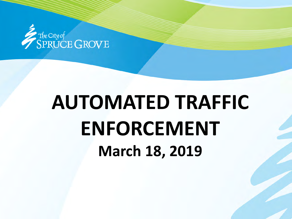

## **AUTOMATED TRAFFIC ENFORCEMENT March 18, 2019**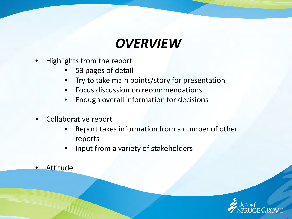### *OVERVIEW*

- Highlights from the report
	- 53 pages of detail
	- Try to take main points/story for presentation
	- Focus discussion on recommendations
	- Enough overall information for decisions
- Collaborative report
	- Report takes information from a number of other reports
	- Input from a variety of stakeholders
- **Attitude**

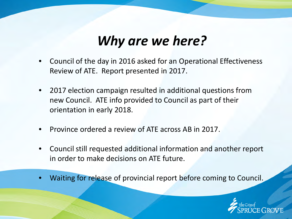### *Why are we here?*

- Council of the day in 2016 asked for an Operational Effectiveness Review of ATE. Report presented in 2017.
- 2017 election campaign resulted in additional questions from new Council. ATE info provided to Council as part of their orientation in early 2018.
- Province ordered a review of ATE across AB in 2017.
- Council still requested additional information and another report in order to make decisions on ATE future.
- Waiting for release of provincial report before coming to Council.

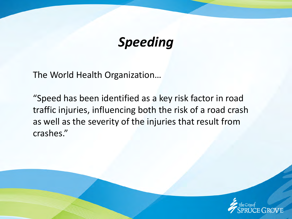### *Speeding*

The World Health Organization…

"Speed has been identified as a key risk factor in road traffic injuries, influencing both the risk of a road crash as well as the severity of the injuries that result from crashes."

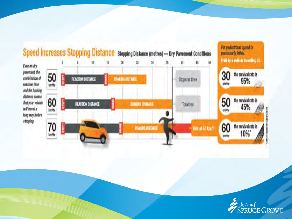

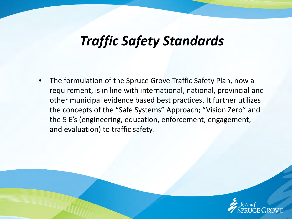### *Traffic Safety Standards*

• The formulation of the Spruce Grove Traffic Safety Plan, now a requirement, is in line with international, national, provincial and other municipal evidence based best practices. It further utilizes the concepts of the "Safe Systems" Approach; "Vision Zero" and the 5 E's (engineering, education, enforcement, engagement, and evaluation) to traffic safety.

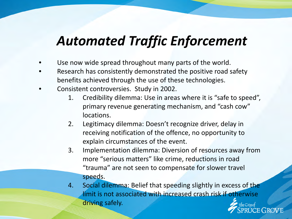### *Automated Traffic Enforcement*

- Use now wide spread throughout many parts of the world.
- Research has consistently demonstrated the positive road safety benefits achieved through the use of these technologies.
- Consistent controversies. Study in 2002.
	- 1. Credibility dilemma: Use in areas where it is "safe to speed", primary revenue generating mechanism, and "cash cow" locations.
	- 2. Legitimacy dilemma: Doesn't recognize driver, delay in receiving notification of the offence, no opportunity to explain circumstances of the event.
	- 3. Implementation dilemma: Diversion of resources away from more "serious matters" like crime, reductions in road "trauma" are not seen to compensate for slower travel speeds.
	- 4. Social dilemma: Belief that speeding slightly in excess of the limit is not associated with increased crash risk if otherwise driving safely.JCE GROVE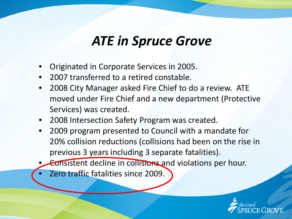### *ATE in Spruce Grove*

- Originated in Corporate Services in 2005.
- 2007 transferred to a retired constable.
- 2008 City Manager asked Fire Chief to do a review. ATE moved under Fire Chief and a new department (Protective Services) was created.
- 2008 Intersection Safety Program was created.
- 2009 program presented to Council with a mandate for 20% collision reductions (collisions had been on the rise in previous 3 years including 3 separate fatalities).
- Consistent decline in collisions and violations per hour.
- Zero traffic fatalities since 2009.

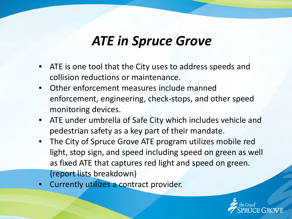### *ATE in Spruce Grove*

- ATE is one tool that the City uses to address speeds and collision reductions or maintenance.
- Other enforcement measures include manned enforcement, engineering, check-stops, and other speed monitoring devices.
- ATE under umbrella of Safe City which includes vehicle and pedestrian safety as a key part of their mandate.
- The City of Spruce Grove ATE program utilizes mobile red light, stop sign, and speed including speed on green as well as fixed ATE that captures red light and speed on green. (report lists breakdown)
- Currently utilizes a contract provider.

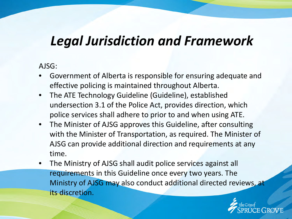#### AJSG:

- Government of Alberta is responsible for ensuring adequate and effective policing is maintained throughout Alberta.
- The ATE Technology Guideline (Guideline), established undersection 3.1 of the Police Act, provides direction, which police services shall adhere to prior to and when using ATE.
- The Minister of AJSG approves this Guideline, after consulting with the Minister of Transportation, as required. The Minister of AJSG can provide additional direction and requirements at any time.
- The Ministry of AJSG shall audit police services against all requirements in this Guideline once every two years. The Ministry of AJSG may also conduct additional directed reviews, at its discretion.

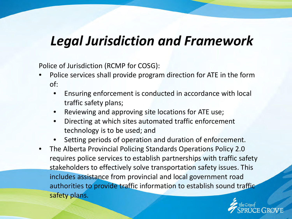Police of Jurisdiction (RCMP for COSG):

- Police services shall provide program direction for ATE in the form of:
	- Ensuring enforcement is conducted in accordance with local traffic safety plans;
	- Reviewing and approving site locations for ATE use;
	- Directing at which sites automated traffic enforcement technology is to be used; and
	- Setting periods of operation and duration of enforcement.
- The Alberta Provincial Policing Standards Operations Policy 2.0 requires police services to establish partnerships with traffic safety stakeholders to effectively solve transportation safety issues. This includes assistance from provincial and local government road authorities to provide traffic information to establish sound traffic safety plans.

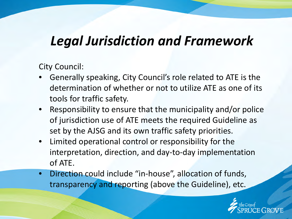City Council:

- Generally speaking, City Council's role related to ATE is the determination of whether or not to utilize ATE as one of its tools for traffic safety.
- Responsibility to ensure that the municipality and/or police of jurisdiction use of ATE meets the required Guideline as set by the AJSG and its own traffic safety priorities.
- Limited operational control or responsibility for the interpretation, direction, and day-to-day implementation of ATE.
- Direction could include "in-house", allocation of funds, transparency and reporting (above the Guideline), etc.

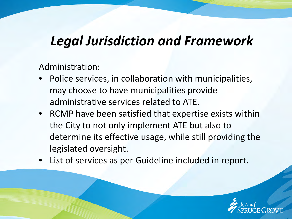Administration:

- Police services, in collaboration with municipalities, may choose to have municipalities provide administrative services related to ATE.
- RCMP have been satisfied that expertise exists within the City to not only implement ATE but also to determine its effective usage, while still providing the legislated oversight.
- List of services as per Guideline included in report.

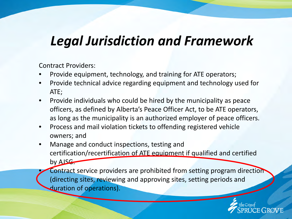Contract Providers:

- Provide equipment, technology, and training for ATE operators;
- Provide technical advice regarding equipment and technology used for ATE;
- Provide individuals who could be hired by the municipality as peace officers, as defined by Alberta's Peace Officer Act, to be ATE operators, as long as the municipality is an authorized employer of peace officers.
- Process and mail violation tickets to offending registered vehicle owners; and
- Manage and conduct inspections, testing and certification/recertification of ATE equipment if qualified and certified by AJSG.

Contract service providers are prohibited from setting program direction (directing sites, reviewing and approving sites, setting periods and duration of operations).

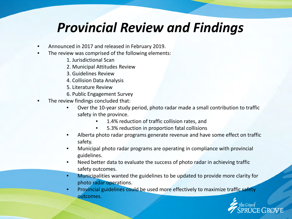### *Provincial Review and Findings*

- Announced in 2017 and released in February 2019.
- The review was comprised of the following elements:
	- 1. Jurisdictional Scan
	- 2. Municipal Attitudes Review
	- 3. Guidelines Review
	- 4. Collision Data Analysis
	- 5. Literature Review
	- 6. Public Engagement Survey
- The review findings concluded that:
	- Over the 10-year study period, photo radar made a small contribution to traffic safety in the province.
		- 1.4% reduction of traffic collision rates, and
		- 5.3% reduction in proportion fatal collisions
	- Alberta photo radar programs generate revenue and have some effect on traffic safety.
	- Municipal photo radar programs are operating in compliance with provincial guidelines.
	- Need better data to evaluate the success of photo radar in achieving traffic safety outcomes.
	- Municipalities wanted the guidelines to be updated to provide more clarity for photo radar operations.
	- Provincial guidelines could be used more effectively to maximize traffic safety outcomes.

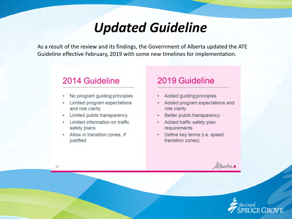#### *Updated Guideline*

As a result of the review and its findings, the Government of Alberta updated the ATE Guideline effective February, 2019 with some new timelines for implementation.

#### 2014 Guideline

- No program guiding principles
- Limited program expectations and role clarity
- Limited public transparency
- Limited information on traffic safety plans
- Allow in transition zones, if justified

#### 2019 Guideline

- Added guiding principles
- Added program expectations and ٠ role clarity
- Better public transparency ٠
- Added traffic safety plan ٠ requirements
- Define key terms (i.e. speed ٠ transition zones).

Albertan



12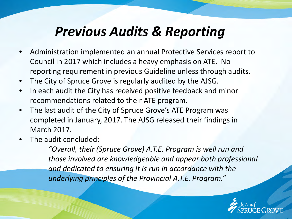### *Previous Audits & Reporting*

- Administration implemented an annual Protective Services report to Council in 2017 which includes a heavy emphasis on ATE. No reporting requirement in previous Guideline unless through audits.
- The City of Spruce Grove is regularly audited by the AJSG.
- In each audit the City has received positive feedback and minor recommendations related to their ATE program.
- The last audit of the City of Spruce Grove's ATE Program was completed in January, 2017. The AJSG released their findings in March 2017.
- The audit concluded:

*"Overall, their (Spruce Grove) A.T.E. Program is well run and those involved are knowledgeable and appear both professional and dedicated to ensuring it is run in accordance with the underlying principles of the Provincial A.T.E. Program."*

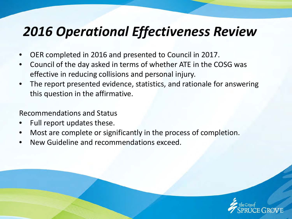### *2016 Operational Effectiveness Review*

- OER completed in 2016 and presented to Council in 2017.
- Council of the day asked in terms of whether ATE in the COSG was effective in reducing collisions and personal injury.
- The report presented evidence, statistics, and rationale for answering this question in the affirmative.

Recommendations and Status

- Full report updates these.
- Most are complete or significantly in the process of completion.
- New Guideline and recommendations exceed.

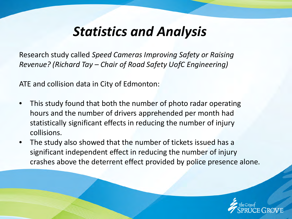Research study called *Speed Cameras Improving Safety or Raising Revenue? (Richard Tay – Chair of Road Safety UofC Engineering)*

ATE and collision data in City of Edmonton:

- This study found that both the number of photo radar operating hours and the number of drivers apprehended per month had statistically significant effects in reducing the number of injury collisions.
- The study also showed that the number of tickets issued has a significant independent effect in reducing the number of injury crashes above the deterrent effect provided by police presence alone.

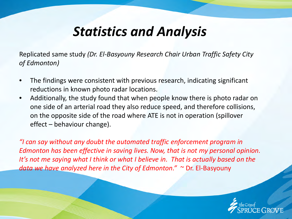Replicated same study *(Dr. El-Basyouny Research Chair Urban Traffic Safety City of Edmonton)*

- The findings were consistent with previous research, indicating significant reductions in known photo radar locations.
- Additionally, the study found that when people know there is photo radar on one side of an arterial road they also reduce speed, and therefore collisions, on the opposite side of the road where ATE is not in operation (spillover effect – behaviour change).

*"I can say without any doubt the automated traffic enforcement program in Edmonton has been effective in saving lives. Now, that is not my personal opinion. It's not me saying what I think or what I believe in. That is actually based on the data we have analyzed here in the City of Edmonton."* ~ Dr. El-Basyouny

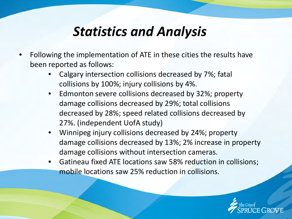- Following the implementation of ATE in these cities the results have been reported as follows:
	- Calgary intersection collisions decreased by 7%; fatal collisions by 100%; injury collisions by 4%.
	- Edmonton severe collisions decreased by 32%; property damage collisions decreased by 29%; total collisions decreased by 28%; speed related collisions decreased by 27%. (independent UofA study)
	- Winnipeg injury collisions decreased by 24%; property damage collisions decreased by 13%; 2% increase in property damage collisions without intersection cameras.
	- Gatineau fixed ATE locations saw 58% reduction in collisions; mobile locations saw 25% reduction in collisions.

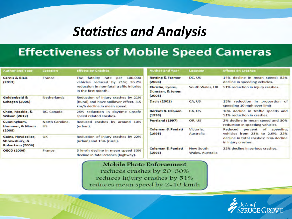#### **Effectiveness of Mobile Speed Cameras**

| <b>Author and Year</b>                                 | Location                     | <b>Effects on Crashes</b>                                                   | <b>Author and Year</b>                 | Location                             | <b>Effects on Crashes</b>                                              |  |  |
|--------------------------------------------------------|------------------------------|-----------------------------------------------------------------------------|----------------------------------------|--------------------------------------|------------------------------------------------------------------------|--|--|
| <b>Carnis &amp; Blais</b><br>(2013)                    | France                       | 100,000<br>The<br>fatality<br>rate<br>per<br>vehicles reduced by 21%; 26.2% | <b>Retting &amp; Farmer</b><br>(2003)  | DC, US                               | 14% decline in mean speed; 82%<br>decline in speeding vehicles.        |  |  |
|                                                        |                              | reduction in non-fatal traffic injuries<br>in the first month.              | Christie, Lyons,<br>Dunstan, & Jones   | South Wales, UK                      | 51% reduction in injury crashes.                                       |  |  |
| Goldenbeld &                                           | <b>Netherlands</b>           | Reduction of injury crashes by 21%                                          | (2003)                                 |                                      |                                                                        |  |  |
| <b>Schagen (2005)</b>                                  |                              | (Rural) and have spillover effect. 3.5<br>km/h decline in mean speed.       | Davis (2001)                           | CA, US                               | reduction in proportion of<br>15%<br>speeding 10 mph over limit        |  |  |
| Chen, Meckle, &<br><b>Wilson (2012)</b>                | BC, Canada                   | 25% reduction in daytime unsafe<br>speed related crashes.                   | Berkuti & Osbuen<br>CA, US<br>(1998)   |                                      | 10% decline in traffic speeds and<br>51% reduction in crashes.         |  |  |
| Cunningham,<br>Hummer, & Moon                          | North Carolina,<br><b>US</b> | Reduced crashes by around 10%<br>(urban).                                   | <b>Portland (1997)</b>                 | OR, US                               | 2% decline in mean speed and 30%<br>reduction in speeding vehicles.    |  |  |
| (2008)                                                 |                              |                                                                             | <b>Coleman &amp; Paniati</b><br>(1995) | Victoria,<br>Australia               | Reduced<br>speeding<br>percent<br>of<br>vehicles from 23% to 2.9%; 22% |  |  |
| Gains, Heydecker,<br>Shrewsbury, &<br>Robertson (2004) | UK                           | Reduction of injury crashes by 22%<br>(urban) and 15% (rural).              |                                        |                                      | decline in total crashes; 38% decline<br>in injury crashes.            |  |  |
| <b>OECD (2006)</b>                                     | France                       | 5 km/h decline in mean speed 30%<br>decline in fatal crashes (highway).     | <b>Coleman &amp; Paniati</b><br>(1995) | <b>New South</b><br>Wales, Australia | 22% decline in serious crashes.                                        |  |  |

Mobile Photo Enforcement reduces crashes by 20-30% reduces injury crashes by 51%

reduces mean speed by 2-10 km/h

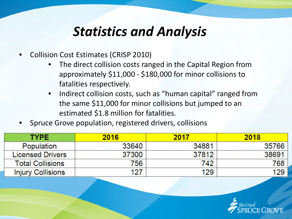- Collision Cost Estimates (CRISP 2010)
	- The direct collision costs ranged in the Capital Region from approximately \$11,000 - \$180,000 for minor collisions to fatalities respectively.
	- Indirect collision costs, such as "human capital" ranged from the same \$11,000 for minor collisions but jumped to an estimated \$1.8 million for fatalities.
- Spruce Grove population, registered drivers, collisions

| <b>TYPE</b>              | 2016  | 2017  | 2018  |
|--------------------------|-------|-------|-------|
| <b>Population</b>        | 33640 | 34881 | 35766 |
| <b>Licensed Drivers</b>  | 37300 | 37812 | 38691 |
| <b>Total Collisions</b>  | 756   | 742   | 768   |
| <b>Injury Collisions</b> | 127   | 129   | 129   |

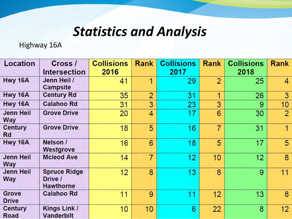Highway 16A

| <b>Location</b>                | Cross /                                            | <b>Collisions</b> | <b>Rank</b>    | <b>Collisions</b> | <b>Rank</b>    | <b>Collisions</b> | <b>Rank</b>      |
|--------------------------------|----------------------------------------------------|-------------------|----------------|-------------------|----------------|-------------------|------------------|
|                                | <b>Intersection</b>                                | 2016              |                | 2017              |                | 2018              |                  |
| Hwy 16A                        | Jenn Heil /<br><b>Campsite</b>                     | 41                | 1              | 29                | $\overline{2}$ | 25                | $\overline{4}$   |
| Hwy 16A                        | <b>Century Rd</b>                                  | 35                | $\overline{2}$ | 31                | 1              | 26                | 3                |
| Hwy 16A                        | <b>Calahoo Rd</b>                                  | 31                | 3              | 23                | 3              | 9                 | 10               |
| <b>Jenn Heil</b><br><b>Way</b> | <b>Grove Drive</b>                                 | 20                | 4              | 17                | 6              | 30                | $\overline{2}$   |
| <b>Century</b><br>Rd           | <b>Grove Drive</b>                                 | 18                | 5              | 16                | $\overline{7}$ | 31                | $\mathbf{1}$     |
| Hwy 16A                        | Nelson /<br>Westgrove                              | 16                | 6              | 18                | 5              | 17                | 5                |
| <b>Jenn Heil</b><br><b>Way</b> | <b>Mcleod Ave</b>                                  | 14                | $\overline{7}$ | 12                | 10             | 12                | $\boldsymbol{8}$ |
| <b>Jenn Heil</b><br><b>Way</b> | <b>Spruce Ridge</b><br>Drive /<br><b>Hawthorne</b> | 12                | 8              | 13                | 8              | 9                 | 11               |
| <b>Grove</b><br><b>Drive</b>   | <b>Calahoo Rd</b>                                  | 11                | 9              | 11                | 12             | 13                | 8                |
| <b>Century</b><br><b>Road</b>  | Kings Link /<br><b>Vanderbilt</b>                  | 10                | 10             | 6                 | 22             | 8                 | 12               |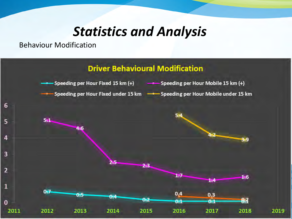Behaviour Modification

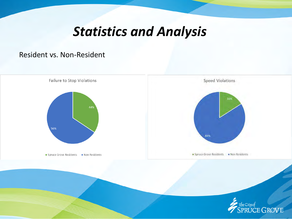#### Resident vs. Non-Resident

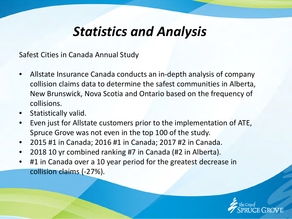Safest Cities in Canada Annual Study

- Allstate Insurance Canada conducts an in-depth analysis of company collision claims data to determine the safest communities in Alberta, New Brunswick, Nova Scotia and Ontario based on the frequency of collisions.
- Statistically valid.
- Even just for Allstate customers prior to the implementation of ATE, Spruce Grove was not even in the top 100 of the study.
- 2015 #1 in Canada; 2016 #1 in Canada; 2017 #2 in Canada.
- 2018 10 yr combined ranking #7 in Canada (#2 in Alberta).
- #1 in Canada over a 10 year period for the greatest decrease in collision claims (-27%).

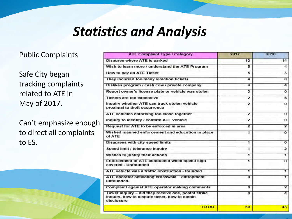#### Public Complaints

Safe City began tracking complaints related to ATE in May of 2017.

Can't emphasize enough to direct all complaints to ES.

| <b>ATE Complaint Type / Category</b>                                                                                | 2017                    | 2018                    |
|---------------------------------------------------------------------------------------------------------------------|-------------------------|-------------------------|
| Disagree where ATE is parked                                                                                        | 13                      | 14                      |
| Wish to learn more / understand the ATE Program                                                                     | 5                       | 4                       |
| How to pay an ATE Ticket                                                                                            | 5                       | $\overline{\mathbf{3}}$ |
| They incurred too many violation tickets                                                                            | 4                       | $\overline{0}$          |
| Dislikes program / cash cow / private company                                                                       | 4                       | 4                       |
| Report owner's license plate or vehicle was stolen                                                                  | 3                       | 0                       |
| <b>Tickets are too expensive</b>                                                                                    | $\overline{\mathbf{z}}$ | 5                       |
| Inquiry whether ATE can track stolen vehicle<br>proximal to theft occurrence                                        | $\overline{\mathbf{z}}$ | $\overline{0}$          |
| ATE vehicles enforcing too close together                                                                           | $\overline{ }$          | $\bf{0}$                |
| Inquiry to identify / confirm ATE vehicle                                                                           | $\overline{\mathbf{z}}$ | $\Omega$                |
| Request for ATE to be enforced in area                                                                              | $\overline{2}$          | $\overline{2}$          |
| Wished manned enforcement and education in place<br>of ATE                                                          | 1                       | $\Omega$                |
| Disagrees with city speed limits                                                                                    | $\overline{1}$          | o                       |
| Speed limit / tolerance inquiry                                                                                     | $\overline{\mathbf{1}}$ | $\overline{2}$          |
| Wishes to justify their actions                                                                                     | 1                       | 1                       |
| Enforcement of ATE conducted when speed sign<br>covered - Unfounded                                                 | 1                       | $\overline{0}$          |
| ATE vehicle was a traffic obstruction - founded                                                                     | $\overline{\mathbf{1}}$ | 1                       |
| ATE operator activating crosswalk - entrapment -<br>unfounded.                                                      | 0                       | 1                       |
| Complaint against ATE operator making comments                                                                      | $\overline{0}$          | $\overline{2}$          |
| Ticket inquiry - did they receive one, postal strike<br>inquiry, how to dispute ticket, how to obtain<br>disclosure | $\overline{0}$          | 4                       |
| <b>TOTAL</b>                                                                                                        | 50                      | 43                      |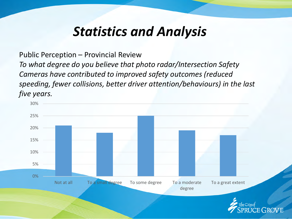Public Perception – Provincial Review *To what degree do you believe that photo radar/Intersection Safety Cameras have contributed to improved safety outcomes (reduced speeding, fewer collisions, better driver attention/behaviours) in the last five years.*

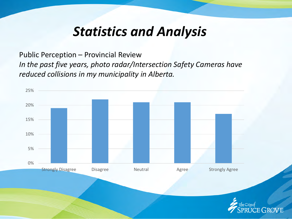Public Perception – Provincial Review *In the past five years, photo radar/Intersection Safety Cameras have reduced collisions in my municipality in Alberta.*

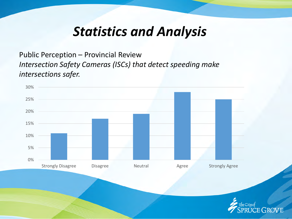Public Perception – Provincial Review *Intersection Safety Cameras (ISCs) that detect speeding make intersections safer.*

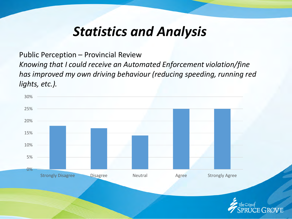Public Perception – Provincial Review

*Knowing that I could receive an Automated Enforcement violation/fine has improved my own driving behaviour (reducing speeding, running red lights, etc.).*

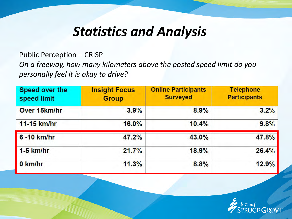Public Perception – CRISP

*On a freeway, how many kilometers above the posted speed limit do you personally feel it is okay to drive?*

| Speed over the<br>speed limit | <b>Insight Focus</b><br><b>Group</b> | <b>Online Participants</b><br><b>Surveyed</b> | <b>Telephone</b><br><b>Participants</b> |  |  |
|-------------------------------|--------------------------------------|-----------------------------------------------|-----------------------------------------|--|--|
| Over 15km/hr                  | 3.9%                                 | 8.9%                                          | 3.2%                                    |  |  |
| 11-15 km/hr                   | 16.0%                                | 10.4%                                         | 9.8%                                    |  |  |
| 6 - 10 km/hr                  | 47.2%                                | 43.0%                                         | 47.8%                                   |  |  |
| $1-5$ km/hr                   | 21.7%                                | 18.9%                                         | 26.4%                                   |  |  |
| 0 km/hr                       | 11.3%                                | 8.8%                                          | 12.9%                                   |  |  |

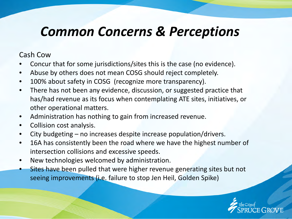#### Cash Cow

- Concur that for some jurisdictions/sites this is the case (no evidence).
- Abuse by others does not mean COSG should reject completely.
- 100% about safety in COSG (recognize more transparency).
- There has not been any evidence, discussion, or suggested practice that has/had revenue as its focus when contemplating ATE sites, initiatives, or other operational matters.
- Administration has nothing to gain from increased revenue.
- Collision cost analysis.
- City budgeting no increases despite increase population/drivers.
- 16A has consistently been the road where we have the highest number of intersection collisions and excessive speeds.
- New technologies welcomed by administration.
- Sites have been pulled that were higher revenue generating sites but not seeing improvements (i.e. failure to stop Jen Heil, Golden Spike)

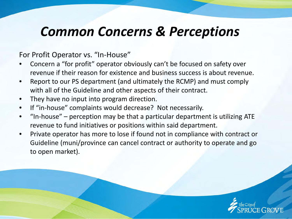For Profit Operator vs. "In-House"

- Concern a "for profit" operator obviously can't be focused on safety over revenue if their reason for existence and business success is about revenue.
- Report to our PS department (and ultimately the RCMP) and must comply with all of the Guideline and other aspects of their contract.
- They have no input into program direction.
- If "in-house" complaints would decrease? Not necessarily.
- "In-house" perception may be that a particular department is utilizing ATE revenue to fund initiatives or positions within said department.
- Private operator has more to lose if found not in compliance with contract or Guideline (muni/province can cancel contract or authority to operate and go to open market).

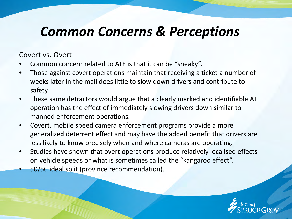#### Covert vs. Overt

- Common concern related to ATE is that it can be "sneaky".
- Those against covert operations maintain that receiving a ticket a number of weeks later in the mail does little to slow down drivers and contribute to safety.
- These same detractors would argue that a clearly marked and identifiable ATE operation has the effect of immediately slowing drivers down similar to manned enforcement operations.
- Covert, mobile speed camera enforcement programs provide a more generalized deterrent effect and may have the added benefit that drivers are less likely to know precisely when and where cameras are operating.
- Studies have shown that overt operations produce relatively localised effects on vehicle speeds or what is sometimes called the "kangaroo effect".
- 50/50 ideal split (province recommendation).

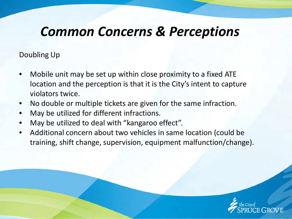Doubling Up

- Mobile unit may be set up within close proximity to a fixed ATE location and the perception is that it is the City's intent to capture violators twice.
- No double or multiple tickets are given for the same infraction.
- May be utilized for different infractions.
- May be utilized to deal with "kangaroo effect".
- Additional concern about two vehicles in same location (could be training, shift change, supervision, equipment malfunction/change).

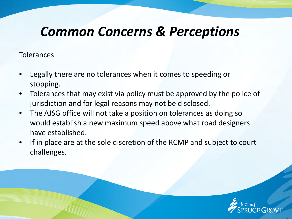**Tolerances** 

- Legally there are no tolerances when it comes to speeding or stopping.
- Tolerances that may exist via policy must be approved by the police of jurisdiction and for legal reasons may not be disclosed.
- The AJSG office will not take a position on tolerances as doing so would establish a new maximum speed above what road designers have established.
- If in place are at the sole discretion of the RCMP and subject to court challenges.

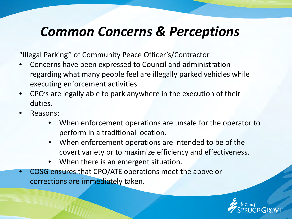"Illegal Parking" of Community Peace Officer's/Contractor

- Concerns have been expressed to Council and administration regarding what many people feel are illegally parked vehicles while executing enforcement activities.
- CPO's are legally able to park anywhere in the execution of their duties.
- Reasons:
	- When enforcement operations are unsafe for the operator to perform in a traditional location.
	- When enforcement operations are intended to be of the covert variety or to maximize efficiency and effectiveness.
	- When there is an emergent situation.
- COSG ensures that CPO/ATE operations meet the above or corrections are immediately taken.

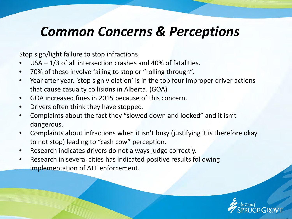Stop sign/light failure to stop infractions

- $USA 1/3$  of all intersection crashes and 40% of fatalities.
- 70% of these involve failing to stop or "rolling through".
- Year after year, 'stop sign violation' is in the top four improper driver actions that cause casualty collisions in Alberta. (GOA)
- GOA increased fines in 2015 because of this concern.
- Drivers often think they have stopped.
- Complaints about the fact they "slowed down and looked" and it isn't dangerous.
- Complaints about infractions when it isn't busy (justifying it is therefore okay to not stop) leading to "cash cow" perception.
- Research indicates drivers do not always judge correctly.
- Research in several cities has indicated positive results following implementation of ATE enforcement.

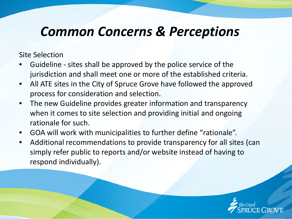Site Selection

- Guideline sites shall be approved by the police service of the jurisdiction and shall meet one or more of the established criteria.
- All ATE sites in the City of Spruce Grove have followed the approved process for consideration and selection.
- The new Guideline provides greater information and transparency when it comes to site selection and providing initial and ongoing rationale for such.
- GOA will work with municipalities to further define "rationale".
- Additional recommendations to provide transparency for all sites (can simply refer public to reports and/or website instead of having to respond individually).

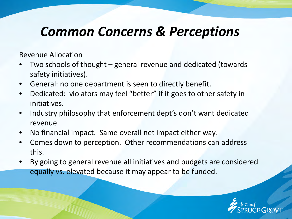Revenue Allocation

- Two schools of thought general revenue and dedicated (towards safety initiatives).
- General: no one department is seen to directly benefit.
- Dedicated: violators may feel "better" if it goes to other safety in initiatives.
- Industry philosophy that enforcement dept's don't want dedicated revenue.
- No financial impact. Same overall net impact either way.
- Comes down to perception. Other recommendations can address this.
- By going to general revenue all initiatives and budgets are considered equally vs. elevated because it may appear to be funded.

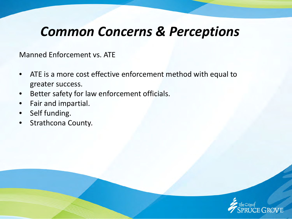Manned Enforcement vs. ATE

- ATE is a more cost effective enforcement method with equal to greater success.
- Better safety for law enforcement officials.
- Fair and impartial.
- Self funding.
- Strathcona County.

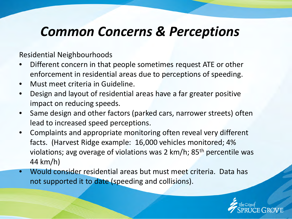Residential Neighbourhoods

- Different concern in that people sometimes request ATE or other enforcement in residential areas due to perceptions of speeding.
- Must meet criteria in Guideline.
- Design and layout of residential areas have a far greater positive impact on reducing speeds.
- Same design and other factors (parked cars, narrower streets) often lead to increased speed perceptions.
- Complaints and appropriate monitoring often reveal very different facts. (Harvest Ridge example: 16,000 vehicles monitored; 4% violations; avg overage of violations was 2 km/h;  $85<sup>th</sup>$  percentile was 44 km/h)
- Would consider residential areas but must meet criteria. Data has not supported it to date (speeding and collisions).

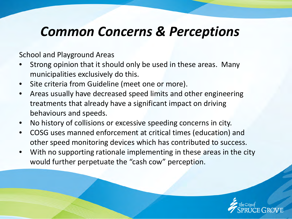School and Playground Areas

- Strong opinion that it should only be used in these areas. Many municipalities exclusively do this.
- Site criteria from Guideline (meet one or more).
- Areas usually have decreased speed limits and other engineering treatments that already have a significant impact on driving behaviours and speeds.
- No history of collisions or excessive speeding concerns in city.
- COSG uses manned enforcement at critical times (education) and other speed monitoring devices which has contributed to success.
- With no supporting rationale implementing in these areas in the city would further perpetuate the "cash cow" perception.

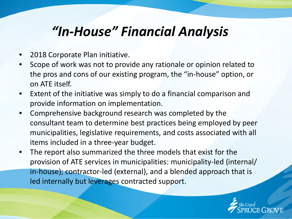### *"In-House" Financial Analysis*

- 2018 Corporate Plan initiative.
- Scope of work was not to provide any rationale or opinion related to the pros and cons of our existing program, the "in-house" option, or on ATE itself.
- Extent of the initiative was simply to do a financial comparison and provide information on implementation.
- Comprehensive background research was completed by the consultant team to determine best practices being employed by peer municipalities, legislative requirements, and costs associated with all items included in a three-year budget.
- The report also summarized the three models that exist for the provision of ATE services in municipalities: municipality-led (internal/ in-house); contractor-led (external), and a blended approach that is led internally but leverages contracted support.

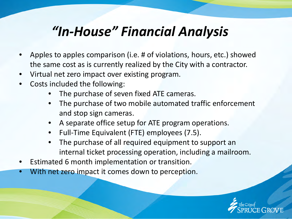### *"In-House" Financial Analysis*

- Apples to apples comparison (i.e. # of violations, hours, etc.) showed the same cost as is currently realized by the City with a contractor.
- Virtual net zero impact over existing program.
- Costs included the following:
	- The purchase of seven fixed ATE cameras.
	- The purchase of two mobile automated traffic enforcement and stop sign cameras.
	- A separate office setup for ATE program operations.
	- Full-Time Equivalent (FTE) employees (7.5).
	- The purchase of all required equipment to support an internal ticket processing operation, including a mailroom.
- Estimated 6 month implementation or transition.
- With net zero impact it comes down to perception.

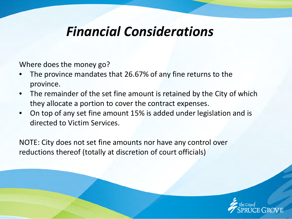#### *Financial Considerations*

Where does the money go?

- The province mandates that 26.67% of any fine returns to the province.
- The remainder of the set fine amount is retained by the City of which they allocate a portion to cover the contract expenses.
- On top of any set fine amount 15% is added under legislation and is directed to Victim Services.

NOTE: City does not set fine amounts nor have any control over reductions thereof (totally at discretion of court officials)

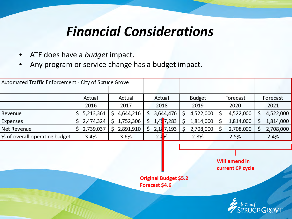### *Financial Considerations*

- ATE does have a *budget* impact.
- Any program or service change has a budget impact.

| Automated Traffic Enforcement - City of Spruce Grove |           |           |         |           |               |           |           |
|------------------------------------------------------|-----------|-----------|---------|-----------|---------------|-----------|-----------|
|                                                      |           |           |         |           |               |           |           |
|                                                      | Actual    | Actual    | Actual  |           | <b>Budget</b> | Forecast  | Forecast  |
|                                                      | 2016      | 2017      | 2018    |           | 2019          | 2020      | 2021      |
| Revenue                                              | 5,213,361 | 4,644,216 |         | 3,644,476 | 4,522,000     | 4,522,000 | 4,522,000 |
| Expenses                                             | 2,474,324 | 1,752,306 | $1,4$ ] | 7,283     | 1,814,000     | 1,814,000 | 1,814,000 |
| Net Revenue                                          | 2,739,037 | 2,891,910 | 2,1     | 7,193     | 2,708,000     | 2,708,000 | 2,708,000 |
| % of overall operating budget                        | 3.4%      | 3.6%      | 2.4     | <b>I%</b> | 2.8%          | 2.5%      | 2.4%      |

**Will amend in** current CP cycle

**Original Budget \$5.2** Forecast \$4.6

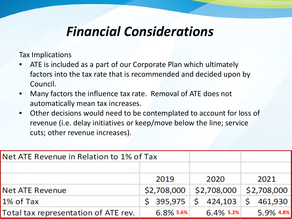### *Financial Considerations*

Tax Implications

- ATE is included as a part of our Corporate Plan which ultimately factors into the tax rate that is recommended and decided upon by Council.
- Many factors the influence tax rate. Removal of ATE does not automatically mean tax increases.
- Other decisions would need to be contemplated to account for loss of revenue (i.e. delay initiatives or keep/move below the line; service cuts; other revenue increases).

| Net ATE Revenue in Relation to 1% of Tax |              |              |             |
|------------------------------------------|--------------|--------------|-------------|
|                                          | 2019         | 2020         | 2021        |
| <b>Net ATE Revenue</b>                   | \$2,708,000  | \$2,708,000  | \$2,708,000 |
| 1% of Tax                                | \$395,975    | \$424,103    | \$461,930   |
| Total tax representation of ATE rev.     | $6.8\%$ 5.6% | $6.4\%$ 5.2% | 5.9% 4.8%   |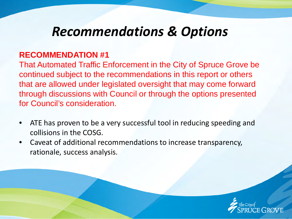#### **RECOMMENDATION #1**

That Automated Traffic Enforcement in the City of Spruce Grove be continued subject to the recommendations in this report or others that are allowed under legislated oversight that may come forward through discussions with Council or through the options presented for Council's consideration.

- ATE has proven to be a very successful tool in reducing speeding and collisions in the COSG.
- Caveat of additional recommendations to increase transparency, rationale, success analysis.

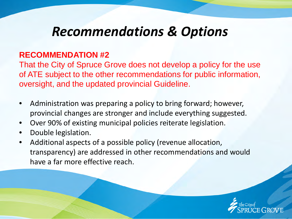#### **RECOMMENDATION #2**

That the City of Spruce Grove does not develop a policy for the use of ATE subject to the other recommendations for public information, oversight, and the updated provincial Guideline.

- Administration was preparing a policy to bring forward; however, provincial changes are stronger and include everything suggested.
- Over 90% of existing municipal policies reiterate legislation.
- Double legislation.
- Additional aspects of a possible policy (revenue allocation, transparency) are addressed in other recommendations and would have a far more effective reach.

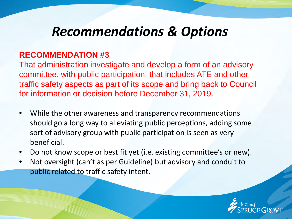#### **RECOMMENDATION #3**

That administration investigate and develop a form of an advisory committee, with public participation, that includes ATE and other traffic safety aspects as part of its scope and bring back to Council for information or decision before December 31, 2019.

- While the other awareness and transparency recommendations should go a long way to alleviating public perceptions, adding some sort of advisory group with public participation is seen as very beneficial.
- Do not know scope or best fit yet (i.e. existing committee's or new).
- Not oversight (can't as per Guideline) but advisory and conduit to public related to traffic safety intent.

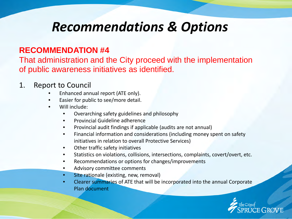#### **RECOMMENDATION #4**

That administration and the City proceed with the implementation of public awareness initiatives as identified.

#### 1. Report to Council

- Enhanced annual report (ATE only).
- Easier for public to see/more detail.
- Will include:
	- Overarching safety guidelines and philosophy
	- Provincial Guideline adherence
	- Provincial audit findings if applicable (audits are not annual)
	- Financial information and considerations (including money spent on safety initiatives in relation to overall Protective Services)
	- Other traffic safety initiatives
	- Statistics on violations, collisions, intersections, complaints, covert/overt, etc.
	- Recommendations or options for changes/improvements
	- Advisory committee comments
	- Site rationale (existing, new, removal)
	- Clearer summaries of ATE that will be incorporated into the annual Corporate Plan document

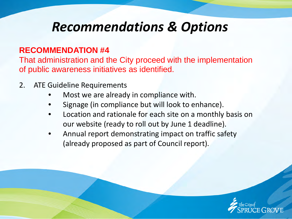#### **RECOMMENDATION #4**

That administration and the City proceed with the implementation of public awareness initiatives as identified.

- 2. ATE Guideline Requirements
	- Most we are already in compliance with.
	- Signage (in compliance but will look to enhance).
	- Location and rationale for each site on a monthly basis on our website (ready to roll out by June 1 deadline).
	- Annual report demonstrating impact on traffic safety (already proposed as part of Council report).

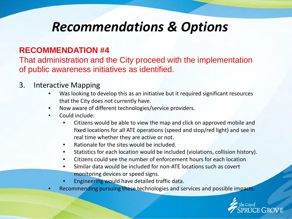#### **RECOMMENDATION #4**

That administration and the City proceed with the implementation of public awareness initiatives as identified.

#### 3. Interactive Mapping

- Was looking to develop this as an initiative but it required significant resources that the City does not currently have.
- Now aware of different technologies/service providers.
- Could include:
	- Citizens would be able to view the map and click on approved mobile and fixed locations for all ATE operations (speed and stop/red light) and see in real time whether they are active or not.
	- Rationale for the sites would be included.
	- Statistics for each location would be included (violations, collision history).
	- Citizens could see the number of enforcement hours for each location
	- Similar data would be included for non-ATE locations such as covert monitoring devices or speed signs.
	- Engineering would have detailed traffic data.
- Recommending pursuing these technologies and services and possible impacts.

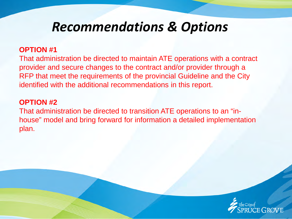#### **OPTION #1**

That administration be directed to maintain ATE operations with a contract provider and secure changes to the contract and/or provider through a RFP that meet the requirements of the provincial Guideline and the City identified with the additional recommendations in this report.

#### **OPTION #2**

That administration be directed to transition ATE operations to an "inhouse" model and bring forward for information a detailed implementation plan.

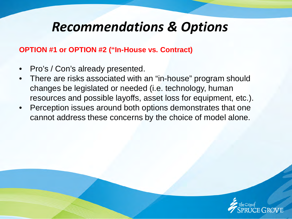#### **OPTION #1 or OPTION #2 ("In-House vs. Contract)**

- Pro's / Con's already presented.
- There are risks associated with an "in-house" program should changes be legislated or needed (i.e. technology, human resources and possible layoffs, asset loss for equipment, etc.).
- Perception issues around both options demonstrates that one cannot address these concerns by the choice of model alone.

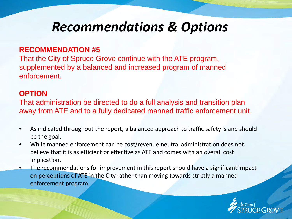#### **RECOMMENDATION #5**

That the City of Spruce Grove continue with the ATE program, supplemented by a balanced and increased program of manned enforcement.

#### **OPTION**

That administration be directed to do a full analysis and transition plan away from ATE and to a fully dedicated manned traffic enforcement unit.

- As indicated throughout the report, a balanced approach to traffic safety is and should be the goal.
- While manned enforcement can be cost/revenue neutral administration does not believe that it is as efficient or effective as ATE and comes with an overall cost implication.
- The recommendations for improvement in this report should have a significant impact on perceptions of ATE in the City rather than moving towards strictly a manned enforcement program.

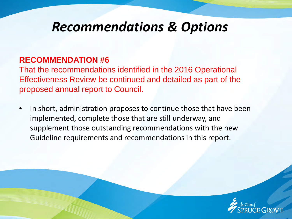#### **RECOMMENDATION #6**

That the recommendations identified in the 2016 Operational Effectiveness Review be continued and detailed as part of the proposed annual report to Council.

In short, administration proposes to continue those that have been implemented, complete those that are still underway, and supplement those outstanding recommendations with the new Guideline requirements and recommendations in this report.

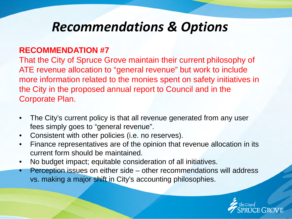#### **RECOMMENDATION #7**

That the City of Spruce Grove maintain their current philosophy of ATE revenue allocation to "general revenue" but work to include more information related to the monies spent on safety initiatives in the City in the proposed annual report to Council and in the Corporate Plan.

- The City's current policy is that all revenue generated from any user fees simply goes to "general revenue".
- Consistent with other policies (i.e. no reserves).
- Finance representatives are of the opinion that revenue allocation in its current form should be maintained.
- No budget impact; equitable consideration of all initiatives.
- Perception issues on either side other recommendations will address vs. making a major shift in City's accounting philosophies.

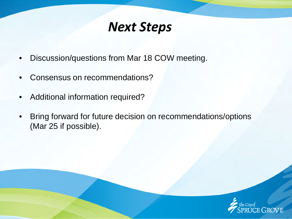#### *Next Steps*

- Discussion/questions from Mar 18 COW meeting.
- Consensus on recommendations?
- Additional information required?
- Bring forward for future decision on recommendations/options (Mar 25 if possible).